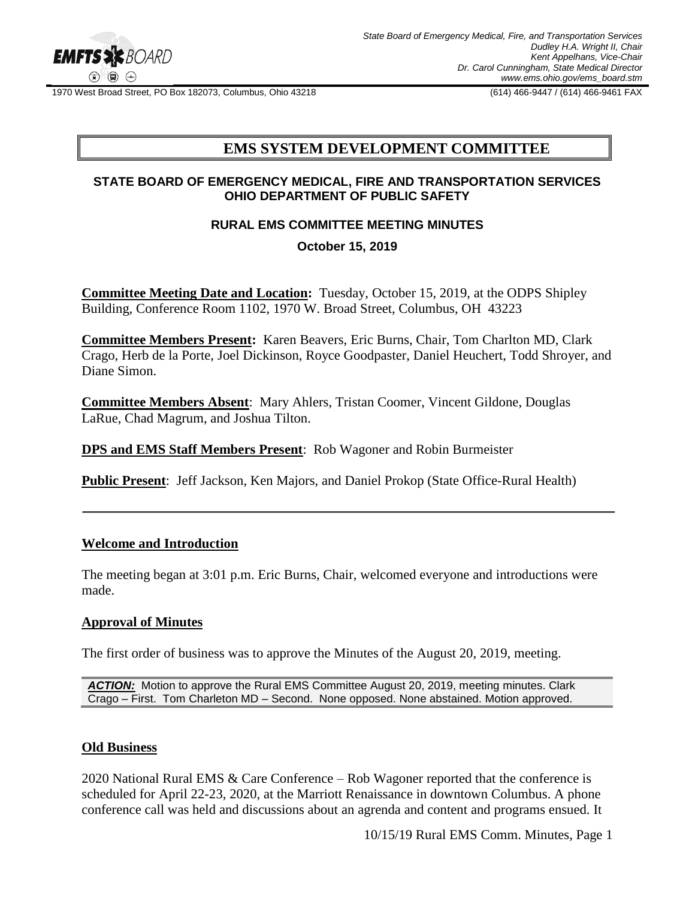

1970 West Broad Street, PO Box 182073, Columbus, Ohio 43218 (614) 466-9447 / (614) 466-9461 FAX

# **EMS SYSTEM DEVELOPMENT COMMITTEE**

#### **STATE BOARD OF EMERGENCY MEDICAL, FIRE AND TRANSPORTATION SERVICES OHIO DEPARTMENT OF PUBLIC SAFETY**

### **RURAL EMS COMMITTEE MEETING MINUTES**

#### **October 15, 2019**

**Committee Meeting Date and Location:** Tuesday, October 15, 2019, at the ODPS Shipley Building, Conference Room 1102, 1970 W. Broad Street, Columbus, OH 43223

**Committee Members Present:** Karen Beavers, Eric Burns, Chair, Tom Charlton MD, Clark Crago, Herb de la Porte, Joel Dickinson, Royce Goodpaster, Daniel Heuchert, Todd Shroyer, and Diane Simon.

**Committee Members Absent**: Mary Ahlers, Tristan Coomer, Vincent Gildone, Douglas LaRue, Chad Magrum, and Joshua Tilton.

**DPS and EMS Staff Members Present**: Rob Wagoner and Robin Burmeister

**Public Present**: Jeff Jackson, Ken Majors, and Daniel Prokop (State Office-Rural Health)

#### **Welcome and Introduction**

The meeting began at 3:01 p.m. Eric Burns, Chair, welcomed everyone and introductions were made.

#### **Approval of Minutes**

The first order of business was to approve the Minutes of the August 20, 2019, meeting.

*ACTION:* Motion to approve the Rural EMS Committee August 20, 2019, meeting minutes. Clark Crago – First. Tom Charleton MD – Second. None opposed. None abstained. Motion approved.

#### **Old Business**

2020 National Rural EMS & Care Conference – Rob Wagoner reported that the conference is scheduled for April 22-23, 2020, at the Marriott Renaissance in downtown Columbus. A phone conference call was held and discussions about an agrenda and content and programs ensued. It

10/15/19 Rural EMS Comm. Minutes, Page 1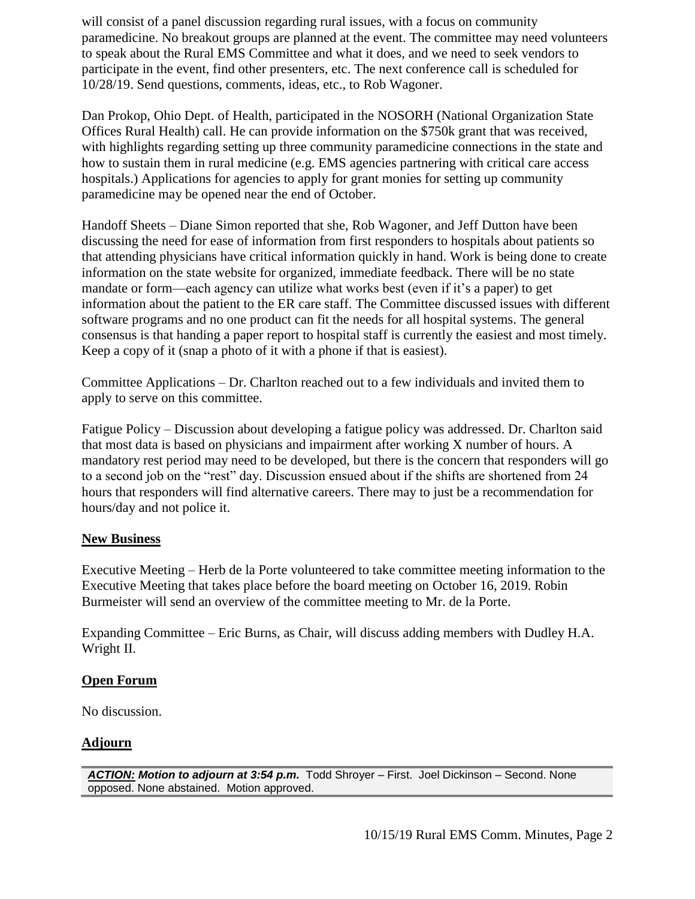will consist of a panel discussion regarding rural issues, with a focus on community paramedicine. No breakout groups are planned at the event. The committee may need volunteers to speak about the Rural EMS Committee and what it does, and we need to seek vendors to participate in the event, find other presenters, etc. The next conference call is scheduled for 10/28/19. Send questions, comments, ideas, etc., to Rob Wagoner.

Dan Prokop, Ohio Dept. of Health, participated in the NOSORH (National Organization State Offices Rural Health) call. He can provide information on the \$750k grant that was received, with highlights regarding setting up three community paramedicine connections in the state and how to sustain them in rural medicine (e.g. EMS agencies partnering with critical care access hospitals.) Applications for agencies to apply for grant monies for setting up community paramedicine may be opened near the end of October.

Handoff Sheets – Diane Simon reported that she, Rob Wagoner, and Jeff Dutton have been discussing the need for ease of information from first responders to hospitals about patients so that attending physicians have critical information quickly in hand. Work is being done to create information on the state website for organized, immediate feedback. There will be no state mandate or form—each agency can utilize what works best (even if it's a paper) to get information about the patient to the ER care staff. The Committee discussed issues with different software programs and no one product can fit the needs for all hospital systems. The general consensus is that handing a paper report to hospital staff is currently the easiest and most timely. Keep a copy of it (snap a photo of it with a phone if that is easiest).

Committee Applications – Dr. Charlton reached out to a few individuals and invited them to apply to serve on this committee.

Fatigue Policy – Discussion about developing a fatigue policy was addressed. Dr. Charlton said that most data is based on physicians and impairment after working X number of hours. A mandatory rest period may need to be developed, but there is the concern that responders will go to a second job on the "rest" day. Discussion ensued about if the shifts are shortened from 24 hours that responders will find alternative careers. There may to just be a recommendation for hours/day and not police it.

#### **New Business**

Executive Meeting – Herb de la Porte volunteered to take committee meeting information to the Executive Meeting that takes place before the board meeting on October 16, 2019. Robin Burmeister will send an overview of the committee meeting to Mr. de la Porte.

Expanding Committee – Eric Burns, as Chair, will discuss adding members with Dudley H.A. Wright II.

#### **Open Forum**

No discussion.

## **Adjourn**

*ACTION: Motion to adjourn at 3:54 p.m.* Todd Shroyer – First. Joel Dickinson – Second. None opposed. None abstained. Motion approved.